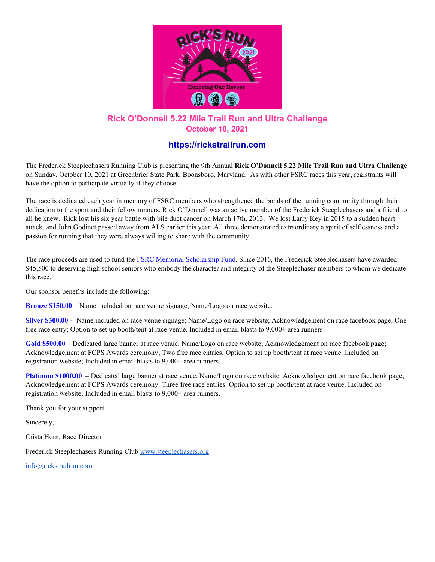

## **Rick O'Donnell 5.22 Mile Trail Run and Ultra Challenge October 10, 2021**

## **[https://rickstrailrun.com](https://rickstrailrun.com/)**

The Frederick Steeplechasers Running Club is presenting the 9th Annual **Rick O'Donnell 5.22 Mile Trail Run and Ultra Challenge** on Sunday, October 10, 2021 at Greenbrier State Park, Boonsboro, Maryland. As with other FSRC races this year, registrants will have the option to participate virtually if they choose.

The race is dedicated each year in memory of FSRC members who strengthened the bonds of the running community through their dedication to the sport and their fellow runners. Rick O'Donnell was an active member of the Frederick Steeplechasers and a friend to all he knew. Rick lost his six year battle with bile duct cancer on March 17th, 2013. We lost Larry Key in 2015 to a sudden heart attack, and John Godinet passed away from ALS earlier this year. All three demonstrated extraordinary a spirit of selflessness and a passion for running that they were always willing to share with the community.

The race proceeds are used to fund th[e FSRC Memorial Scholarship Fund.](https://steeplechasers.org/community/fsrc-memorial-scholarship/) Since 2016, the Frederick Steeplechasers have awarded \$45,500 to deserving high school seniors who embody the character and integrity of the Steeplechaser members to whom we dedicate this race.

Our sponsor benefits include the following:

**Bronze \$150.00** – Name included on race venue signage; Name/Logo on race website.

**Silver \$300.00 -**- Name included on race venue signage; Name/Logo on race website; Acknowledgement on race facebook page; One free race entry; Option to set up booth/tent at race venue. Included in email blasts to 9,000+ area runners

**Gold \$500.00** – Dedicated large banner at race venue; Name/Logo on race website; Acknowledgement on race facebook page; Acknowledgement at FCPS Awards ceremony; Two free race entries; Option to set up booth/tent at race venue. Included on registration website; Included in email blasts to 9,000+ area runners.

**Platinum \$1000.00** – Dedicated large banner at race venue. Name/Logo on race website. Acknowledgement on race facebook page; Acknowledgement at FCPS Awards ceremony. Three free race entries. Option to set up booth/tent at race venue. Included on registration website; Included in email blasts to 9,000+ area runners.

Thank you for your support.

Sincerely,

Crista Horn, Race Director

Frederick Steeplechasers Running Club [www.steeplechasers.org](http://www.steeplechasers.org/)

[info@rickstrailrun.com](mailto:info@rickstrailrun.com)